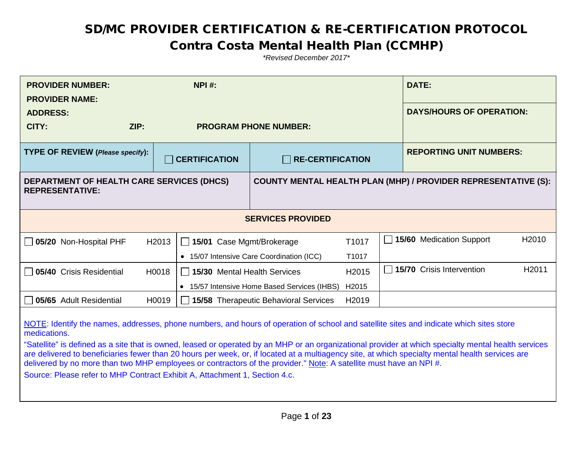#### Contra Costa Mental Health Plan (CCMHP)

| <b>PROVIDER NUMBER:</b><br><b>PROVIDER NAME:</b>                                                                                                                                                                                                                                                                                                                                                                                                                                                                                                                                                                                                                        |       | <b>NPI#:</b>                                                          |                                              |                   |  | <b>DATE:</b>                    |                   |
|-------------------------------------------------------------------------------------------------------------------------------------------------------------------------------------------------------------------------------------------------------------------------------------------------------------------------------------------------------------------------------------------------------------------------------------------------------------------------------------------------------------------------------------------------------------------------------------------------------------------------------------------------------------------------|-------|-----------------------------------------------------------------------|----------------------------------------------|-------------------|--|---------------------------------|-------------------|
| <b>ADDRESS:</b>                                                                                                                                                                                                                                                                                                                                                                                                                                                                                                                                                                                                                                                         |       |                                                                       |                                              |                   |  | <b>DAYS/HOURS OF OPERATION:</b> |                   |
| CITY:                                                                                                                                                                                                                                                                                                                                                                                                                                                                                                                                                                                                                                                                   | ZIP:  |                                                                       | <b>PROGRAM PHONE NUMBER:</b>                 |                   |  |                                 |                   |
| <b>TYPE OF REVIEW (Please specify):</b>                                                                                                                                                                                                                                                                                                                                                                                                                                                                                                                                                                                                                                 |       | <b>CERTIFICATION</b>                                                  | <b>RE-CERTIFICATION</b>                      |                   |  | <b>REPORTING UNIT NUMBERS:</b>  |                   |
| <b>DEPARTMENT OF HEALTH CARE SERVICES (DHCS)</b><br><b>REPRESENTATIVE:</b>                                                                                                                                                                                                                                                                                                                                                                                                                                                                                                                                                                                              |       | <b>COUNTY MENTAL HEALTH PLAN (MHP) / PROVIDER REPRESENTATIVE (S):</b> |                                              |                   |  |                                 |                   |
|                                                                                                                                                                                                                                                                                                                                                                                                                                                                                                                                                                                                                                                                         |       |                                                                       | <b>SERVICES PROVIDED</b>                     |                   |  |                                 |                   |
| $\Box$ 05/20 Non-Hospital PHF                                                                                                                                                                                                                                                                                                                                                                                                                                                                                                                                                                                                                                           | H2013 | 15/01 Case Mgmt/Brokerage                                             |                                              | T1017             |  | 15/60 Medication Support        | H <sub>2010</sub> |
|                                                                                                                                                                                                                                                                                                                                                                                                                                                                                                                                                                                                                                                                         |       |                                                                       | • 15/07 Intensive Care Coordination (ICC)    | T1017             |  |                                 |                   |
| <b>05/40</b> Crisis Residential                                                                                                                                                                                                                                                                                                                                                                                                                                                                                                                                                                                                                                         | H0018 | 15/30 Mental Health Services                                          |                                              | H <sub>2015</sub> |  | 15/70 Crisis Intervention       | H <sub>2011</sub> |
|                                                                                                                                                                                                                                                                                                                                                                                                                                                                                                                                                                                                                                                                         |       |                                                                       | • 15/57 Intensive Home Based Services (IHBS) | H2015             |  |                                 |                   |
| 05/65 Adult Residential                                                                                                                                                                                                                                                                                                                                                                                                                                                                                                                                                                                                                                                 | H0019 |                                                                       | <b>15/58</b> Therapeutic Behavioral Services | H2019             |  |                                 |                   |
| NOTE: Identify the names, addresses, phone numbers, and hours of operation of school and satellite sites and indicate which sites store<br>medications.<br>"Satellite" is defined as a site that is owned, leased or operated by an MHP or an organizational provider at which specialty mental health services<br>are delivered to beneficiaries fewer than 20 hours per week, or, if located at a multiagency site, at which specialty mental health services are<br>delivered by no more than two MHP employees or contractors of the provider." Note: A satellite must have an NPI #.<br>Source: Please refer to MHP Contract Exhibit A, Attachment 1, Section 4.c. |       |                                                                       |                                              |                   |  |                                 |                   |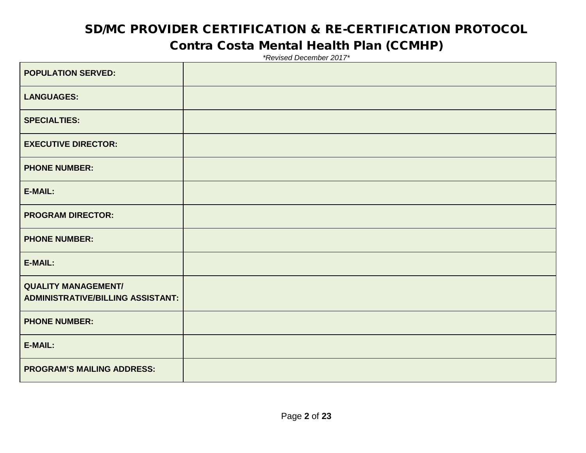#### Contra Costa Mental Health Plan (CCMHP)

| <b>POPULATION SERVED:</b>                                              |  |
|------------------------------------------------------------------------|--|
| <b>LANGUAGES:</b>                                                      |  |
| <b>SPECIALTIES:</b>                                                    |  |
| <b>EXECUTIVE DIRECTOR:</b>                                             |  |
| <b>PHONE NUMBER:</b>                                                   |  |
| E-MAIL:                                                                |  |
| <b>PROGRAM DIRECTOR:</b>                                               |  |
| <b>PHONE NUMBER:</b>                                                   |  |
| E-MAIL:                                                                |  |
| <b>QUALITY MANAGEMENT/</b><br><b>ADMINISTRATIVE/BILLING ASSISTANT:</b> |  |
| <b>PHONE NUMBER:</b>                                                   |  |
| E-MAIL:                                                                |  |
| <b>PROGRAM'S MAILING ADDRESS:</b>                                      |  |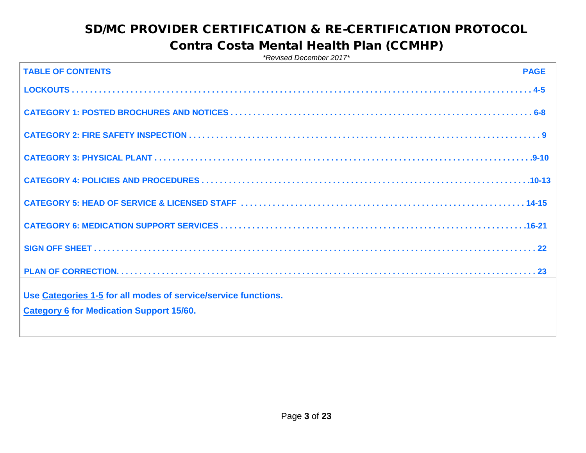#### Contra Costa Mental Health Plan (CCMHP)

| <b>TABLE OF CONTENTS</b><br><b>PAGE</b>                        |  |
|----------------------------------------------------------------|--|
|                                                                |  |
|                                                                |  |
|                                                                |  |
|                                                                |  |
|                                                                |  |
|                                                                |  |
|                                                                |  |
|                                                                |  |
|                                                                |  |
|                                                                |  |
|                                                                |  |
|                                                                |  |
|                                                                |  |
|                                                                |  |
|                                                                |  |
|                                                                |  |
| Use Categories 1-5 for all modes of service/service functions. |  |
| <b>Category 6 for Medication Support 15/60.</b>                |  |
|                                                                |  |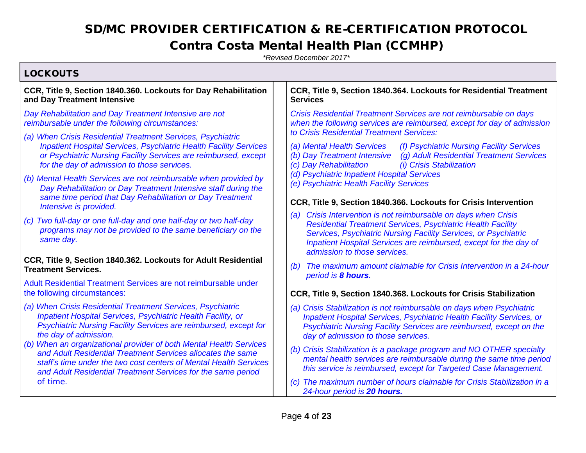#### Contra Costa Mental Health Plan (CCMHP)

| <b>LOCKOUTS</b>                                                                                                                                                                                                                                                        |                                                                                                                                                                                                                                                                                                                                                                                      |  |  |  |
|------------------------------------------------------------------------------------------------------------------------------------------------------------------------------------------------------------------------------------------------------------------------|--------------------------------------------------------------------------------------------------------------------------------------------------------------------------------------------------------------------------------------------------------------------------------------------------------------------------------------------------------------------------------------|--|--|--|
| CCR, Title 9, Section 1840.360. Lockouts for Day Rehabilitation<br>and Day Treatment Intensive                                                                                                                                                                         | CCR, Title 9, Section 1840.364. Lockouts for Residential Treatment<br><b>Services</b>                                                                                                                                                                                                                                                                                                |  |  |  |
| Day Rehabilitation and Day Treatment Intensive are not<br>reimbursable under the following circumstances:                                                                                                                                                              | Crisis Residential Treatment Services are not reimbursable on days<br>when the following services are reimbursed, except for day of admission                                                                                                                                                                                                                                        |  |  |  |
| (a) When Crisis Residential Treatment Services, Psychiatric<br><b>Inpatient Hospital Services, Psychiatric Health Facility Services</b><br>or Psychiatric Nursing Facility Services are reimbursed, except<br>for the day of admission to those services.              | to Crisis Residential Treatment Services:<br>(a) Mental Health Services<br>(f) Psychiatric Nursing Facility Services<br>(g) Adult Residential Treatment Services<br>(b) Day Treatment Intensive<br>(c) Day Rehabilitation<br><i>(i)</i> Crisis Stabilization                                                                                                                         |  |  |  |
| (b) Mental Health Services are not reimbursable when provided by<br>Day Rehabilitation or Day Treatment Intensive staff during the<br>same time period that Day Rehabilitation or Day Treatment                                                                        | (d) Psychiatric Inpatient Hospital Services<br>(e) Psychiatric Health Facility Services                                                                                                                                                                                                                                                                                              |  |  |  |
| Intensive is provided.                                                                                                                                                                                                                                                 | CCR, Title 9, Section 1840.366. Lockouts for Crisis Intervention<br>Crisis Intervention is not reimbursable on days when Crisis<br>(a)<br><b>Residential Treatment Services, Psychiatric Health Facility</b><br>Services, Psychiatric Nursing Facility Services, or Psychiatric<br>Inpatient Hospital Services are reimbursed, except for the day of<br>admission to those services. |  |  |  |
| (c) Two full-day or one full-day and one half-day or two half-day<br>programs may not be provided to the same beneficiary on the<br>same day.                                                                                                                          |                                                                                                                                                                                                                                                                                                                                                                                      |  |  |  |
| CCR, Title 9, Section 1840.362. Lockouts for Adult Residential<br><b>Treatment Services.</b>                                                                                                                                                                           | The maximum amount claimable for Crisis Intervention in a 24-hour<br>(b)<br>period is 8 hours.                                                                                                                                                                                                                                                                                       |  |  |  |
| Adult Residential Treatment Services are not reimbursable under<br>the following circumstances:                                                                                                                                                                        | CCR, Title 9, Section 1840.368. Lockouts for Crisis Stabilization                                                                                                                                                                                                                                                                                                                    |  |  |  |
| (a) When Crisis Residential Treatment Services, Psychiatric<br>Inpatient Hospital Services, Psychiatric Health Facility, or<br>Psychiatric Nursing Facility Services are reimbursed, except for<br>the day of admission.                                               | (a) Crisis Stabilization is not reimbursable on days when Psychiatric<br>Inpatient Hospital Services, Psychiatric Health Facility Services, or<br>Psychiatric Nursing Facility Services are reimbursed, except on the<br>day of admission to those services.                                                                                                                         |  |  |  |
| (b) When an organizational provider of both Mental Health Services<br>and Adult Residential Treatment Services allocates the same<br>staff's time under the two cost centers of Mental Health Services<br>and Adult Residential Treatment Services for the same period | (b) Crisis Stabilization is a package program and NO OTHER specialty<br>mental health services are reimbursable during the same time period<br>this service is reimbursed, except for Targeted Case Management.                                                                                                                                                                      |  |  |  |
| of time.                                                                                                                                                                                                                                                               | (c) The maximum number of hours claimable for Crisis Stabilization in a<br>24-hour period is 20 hours.                                                                                                                                                                                                                                                                               |  |  |  |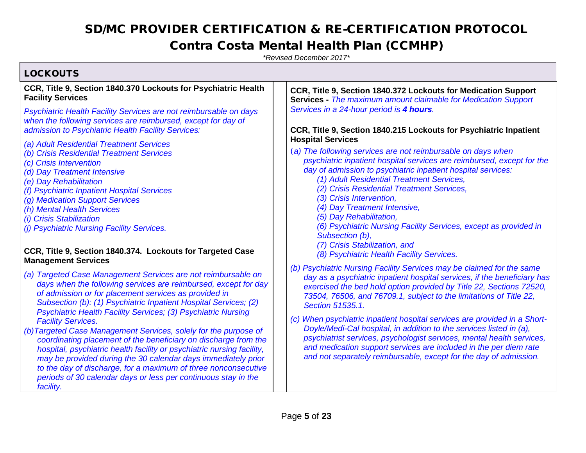#### Contra Costa Mental Health Plan (CCMHP)

*\*Revised December 2017\**

 $L$   $OCVOUTE$ 

| LUUNUU I J                                                                                                                                                                                                                                                                                                                                                                                                                                                                                                                                                                                                                                                                                                                                                                                     |                                                                                                                                                                                                                                                                                                                                                                                                                                                                                                                                                                                                                                                                                           |
|------------------------------------------------------------------------------------------------------------------------------------------------------------------------------------------------------------------------------------------------------------------------------------------------------------------------------------------------------------------------------------------------------------------------------------------------------------------------------------------------------------------------------------------------------------------------------------------------------------------------------------------------------------------------------------------------------------------------------------------------------------------------------------------------|-------------------------------------------------------------------------------------------------------------------------------------------------------------------------------------------------------------------------------------------------------------------------------------------------------------------------------------------------------------------------------------------------------------------------------------------------------------------------------------------------------------------------------------------------------------------------------------------------------------------------------------------------------------------------------------------|
| CCR, Title 9, Section 1840.370 Lockouts for Psychiatric Health                                                                                                                                                                                                                                                                                                                                                                                                                                                                                                                                                                                                                                                                                                                                 | CCR, Title 9, Section 1840.372 Lockouts for Medication Support                                                                                                                                                                                                                                                                                                                                                                                                                                                                                                                                                                                                                            |
| <b>Facility Services</b>                                                                                                                                                                                                                                                                                                                                                                                                                                                                                                                                                                                                                                                                                                                                                                       | <b>Services</b> - The maximum amount claimable for Medication Support                                                                                                                                                                                                                                                                                                                                                                                                                                                                                                                                                                                                                     |
| Psychiatric Health Facility Services are not reimbursable on days                                                                                                                                                                                                                                                                                                                                                                                                                                                                                                                                                                                                                                                                                                                              | Services in a 24-hour period is 4 hours.                                                                                                                                                                                                                                                                                                                                                                                                                                                                                                                                                                                                                                                  |
| when the following services are reimbursed, except for day of                                                                                                                                                                                                                                                                                                                                                                                                                                                                                                                                                                                                                                                                                                                                  | CCR, Title 9, Section 1840.215 Lockouts for Psychiatric Inpatient                                                                                                                                                                                                                                                                                                                                                                                                                                                                                                                                                                                                                         |
| admission to Psychiatric Health Facility Services:                                                                                                                                                                                                                                                                                                                                                                                                                                                                                                                                                                                                                                                                                                                                             | <b>Hospital Services</b>                                                                                                                                                                                                                                                                                                                                                                                                                                                                                                                                                                                                                                                                  |
| (a) Adult Residential Treatment Services                                                                                                                                                                                                                                                                                                                                                                                                                                                                                                                                                                                                                                                                                                                                                       | (a) The following services are not reimbursable on days when                                                                                                                                                                                                                                                                                                                                                                                                                                                                                                                                                                                                                              |
| (b) Crisis Residential Treatment Services                                                                                                                                                                                                                                                                                                                                                                                                                                                                                                                                                                                                                                                                                                                                                      | psychiatric inpatient hospital services are reimbursed, except for the                                                                                                                                                                                                                                                                                                                                                                                                                                                                                                                                                                                                                    |
| (c) Crisis Intervention                                                                                                                                                                                                                                                                                                                                                                                                                                                                                                                                                                                                                                                                                                                                                                        | day of admission to psychiatric inpatient hospital services:                                                                                                                                                                                                                                                                                                                                                                                                                                                                                                                                                                                                                              |
| (d) Day Treatment Intensive                                                                                                                                                                                                                                                                                                                                                                                                                                                                                                                                                                                                                                                                                                                                                                    | (1) Adult Residential Treatment Services,                                                                                                                                                                                                                                                                                                                                                                                                                                                                                                                                                                                                                                                 |
| (e) Day Rehabilitation                                                                                                                                                                                                                                                                                                                                                                                                                                                                                                                                                                                                                                                                                                                                                                         | (2) Crisis Residential Treatment Services,                                                                                                                                                                                                                                                                                                                                                                                                                                                                                                                                                                                                                                                |
| (f) Psychiatric Inpatient Hospital Services                                                                                                                                                                                                                                                                                                                                                                                                                                                                                                                                                                                                                                                                                                                                                    | (3) Crisis Intervention,                                                                                                                                                                                                                                                                                                                                                                                                                                                                                                                                                                                                                                                                  |
| (g) Medication Support Services                                                                                                                                                                                                                                                                                                                                                                                                                                                                                                                                                                                                                                                                                                                                                                | (4) Day Treatment Intensive,                                                                                                                                                                                                                                                                                                                                                                                                                                                                                                                                                                                                                                                              |
| (h) Mental Health Services                                                                                                                                                                                                                                                                                                                                                                                                                                                                                                                                                                                                                                                                                                                                                                     | (5) Day Rehabilitation,                                                                                                                                                                                                                                                                                                                                                                                                                                                                                                                                                                                                                                                                   |
| <i>(i)</i> Crisis Stabilization                                                                                                                                                                                                                                                                                                                                                                                                                                                                                                                                                                                                                                                                                                                                                                | (6) Psychiatric Nursing Facility Services, except as provided in                                                                                                                                                                                                                                                                                                                                                                                                                                                                                                                                                                                                                          |
| (i) Psychiatric Nursing Facility Services.                                                                                                                                                                                                                                                                                                                                                                                                                                                                                                                                                                                                                                                                                                                                                     | Subsection (b),                                                                                                                                                                                                                                                                                                                                                                                                                                                                                                                                                                                                                                                                           |
| CCR, Title 9, Section 1840.374. Lockouts for Targeted Case                                                                                                                                                                                                                                                                                                                                                                                                                                                                                                                                                                                                                                                                                                                                     | (7) Crisis Stabilization, and                                                                                                                                                                                                                                                                                                                                                                                                                                                                                                                                                                                                                                                             |
| <b>Management Services</b>                                                                                                                                                                                                                                                                                                                                                                                                                                                                                                                                                                                                                                                                                                                                                                     | (8) Psychiatric Health Facility Services.                                                                                                                                                                                                                                                                                                                                                                                                                                                                                                                                                                                                                                                 |
| (a) Targeted Case Management Services are not reimbursable on<br>days when the following services are reimbursed, except for day<br>of admission or for placement services as provided in<br>Subsection (b): (1) Psychiatric Inpatient Hospital Services; (2)<br>Psychiatric Health Facility Services; (3) Psychiatric Nursing<br><b>Facility Services.</b><br>(b) Targeted Case Management Services, solely for the purpose of<br>coordinating placement of the beneficiary on discharge from the<br>hospital, psychiatric health facility or psychiatric nursing facility,<br>may be provided during the 30 calendar days immediately prior<br>to the day of discharge, for a maximum of three nonconsecutive<br>periods of 30 calendar days or less per continuous stay in the<br>facility. | (b) Psychiatric Nursing Facility Services may be claimed for the same<br>day as a psychiatric inpatient hospital services, if the beneficiary has<br>exercised the bed hold option provided by Title 22, Sections 72520,<br>73504, 76506, and 76709.1, subject to the limitations of Title 22,<br>Section 51535.1.<br>(c) When psychiatric inpatient hospital services are provided in a Short-<br>Doyle/Medi-Cal hospital, in addition to the services listed in (a),<br>psychiatrist services, psychologist services, mental health services,<br>and medication support services are included in the per diem rate<br>and not separately reimbursable, except for the day of admission. |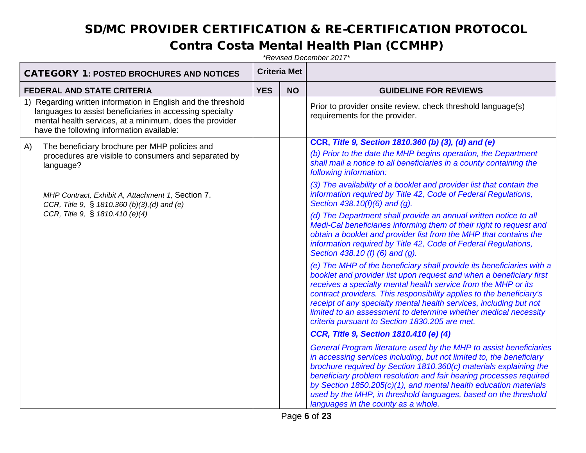#### Contra Costa Mental Health Plan (CCMHP)

| <b>CATEGORY 1: POSTED BROCHURES AND NOTICES</b> |                                                                                                                                                                                                                                   |            | <b>Criteria Met</b> |                                                                                                                                                                                                                                                                                                                                                                                                                                                                                   |
|-------------------------------------------------|-----------------------------------------------------------------------------------------------------------------------------------------------------------------------------------------------------------------------------------|------------|---------------------|-----------------------------------------------------------------------------------------------------------------------------------------------------------------------------------------------------------------------------------------------------------------------------------------------------------------------------------------------------------------------------------------------------------------------------------------------------------------------------------|
| <b>FEDERAL AND STATE CRITERIA</b>               |                                                                                                                                                                                                                                   | <b>YES</b> | <b>NO</b>           | <b>GUIDELINE FOR REVIEWS</b>                                                                                                                                                                                                                                                                                                                                                                                                                                                      |
|                                                 | 1) Regarding written information in English and the threshold<br>languages to assist beneficiaries in accessing specialty<br>mental health services, at a minimum, does the provider<br>have the following information available: |            |                     | Prior to provider onsite review, check threshold language(s)<br>requirements for the provider.                                                                                                                                                                                                                                                                                                                                                                                    |
| A)                                              | The beneficiary brochure per MHP policies and                                                                                                                                                                                     |            |                     | CCR, Title 9, Section 1810.360 (b) (3), (d) and (e)                                                                                                                                                                                                                                                                                                                                                                                                                               |
|                                                 | procedures are visible to consumers and separated by<br>language?                                                                                                                                                                 |            |                     | (b) Prior to the date the MHP begins operation, the Department<br>shall mail a notice to all beneficiaries in a county containing the<br>following information:                                                                                                                                                                                                                                                                                                                   |
|                                                 | MHP Contract, Exhibit A, Attachment 1, Section 7.<br>CCR, Title 9, § 1810.360 (b)(3),(d) and (e)                                                                                                                                  |            |                     | (3) The availability of a booklet and provider list that contain the<br>information required by Title 42, Code of Federal Regulations,<br>Section 438.10(f)(6) and (g).                                                                                                                                                                                                                                                                                                           |
|                                                 | CCR, Title 9, § 1810.410 (e)(4)                                                                                                                                                                                                   |            |                     | (d) The Department shall provide an annual written notice to all<br>Medi-Cal beneficiaries informing them of their right to request and<br>obtain a booklet and provider list from the MHP that contains the<br>information required by Title 42, Code of Federal Regulations,<br>Section 438.10 (f) (6) and (g).                                                                                                                                                                 |
|                                                 |                                                                                                                                                                                                                                   |            |                     | (e) The MHP of the beneficiary shall provide its beneficiaries with a<br>booklet and provider list upon request and when a beneficiary first<br>receives a specialty mental health service from the MHP or its<br>contract providers. This responsibility applies to the beneficiary's<br>receipt of any specialty mental health services, including but not<br>limited to an assessment to determine whether medical necessity<br>criteria pursuant to Section 1830.205 are met. |
|                                                 |                                                                                                                                                                                                                                   |            |                     | CCR, Title 9, Section 1810.410 (e) (4)                                                                                                                                                                                                                                                                                                                                                                                                                                            |
|                                                 |                                                                                                                                                                                                                                   |            |                     | General Program literature used by the MHP to assist beneficiaries<br>in accessing services including, but not limited to, the beneficiary<br>brochure required by Section 1810.360(c) materials explaining the<br>beneficiary problem resolution and fair hearing processes required<br>by Section 1850.205(c)(1), and mental health education materials<br>used by the MHP, in threshold languages, based on the threshold<br>languages in the county as a whole.               |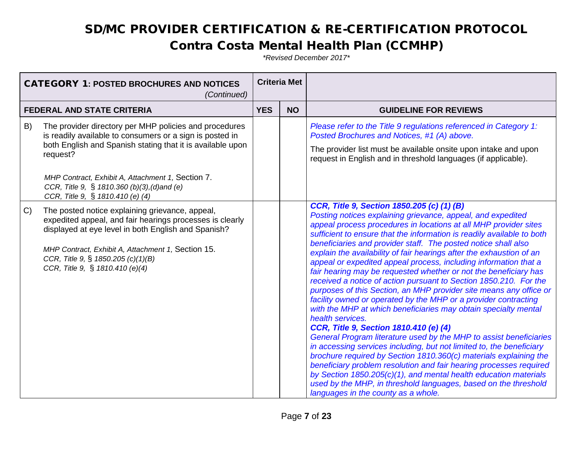#### Contra Costa Mental Health Plan (CCMHP)

| <b>CATEGORY 1: POSTED BROCHURES AND NOTICES</b><br>(Continued) |                                                                                                                                                                                                                                                                                                                                       | <b>Criteria Met</b> |           |                                                                                                                                                                                                                                                                                                                                                                                                                                                                                                                                                                                                                                                                                                                                                                                                                                                                                                                                                                                                                                                                                                                                                                                                                                                                                                                                                                 |
|----------------------------------------------------------------|---------------------------------------------------------------------------------------------------------------------------------------------------------------------------------------------------------------------------------------------------------------------------------------------------------------------------------------|---------------------|-----------|-----------------------------------------------------------------------------------------------------------------------------------------------------------------------------------------------------------------------------------------------------------------------------------------------------------------------------------------------------------------------------------------------------------------------------------------------------------------------------------------------------------------------------------------------------------------------------------------------------------------------------------------------------------------------------------------------------------------------------------------------------------------------------------------------------------------------------------------------------------------------------------------------------------------------------------------------------------------------------------------------------------------------------------------------------------------------------------------------------------------------------------------------------------------------------------------------------------------------------------------------------------------------------------------------------------------------------------------------------------------|
|                                                                | <b>FEDERAL AND STATE CRITERIA</b>                                                                                                                                                                                                                                                                                                     | <b>YES</b>          | <b>NO</b> | <b>GUIDELINE FOR REVIEWS</b>                                                                                                                                                                                                                                                                                                                                                                                                                                                                                                                                                                                                                                                                                                                                                                                                                                                                                                                                                                                                                                                                                                                                                                                                                                                                                                                                    |
| B)                                                             | The provider directory per MHP policies and procedures<br>is readily available to consumers or a sign is posted in<br>both English and Spanish stating that it is available upon<br>request?<br>MHP Contract, Exhibit A, Attachment 1, Section 7.<br>CCR, Title 9, § 1810.360 (b)(3), (d) and (e)<br>CCR, Title 9, § 1810.410 (e) (4) |                     |           | Please refer to the Title 9 regulations referenced in Category 1:<br>Posted Brochures and Notices, #1 (A) above.<br>The provider list must be available onsite upon intake and upon<br>request in English and in threshold languages (if applicable).                                                                                                                                                                                                                                                                                                                                                                                                                                                                                                                                                                                                                                                                                                                                                                                                                                                                                                                                                                                                                                                                                                           |
| C)                                                             | The posted notice explaining grievance, appeal,<br>expedited appeal, and fair hearings processes is clearly<br>displayed at eye level in both English and Spanish?<br>MHP Contract, Exhibit A, Attachment 1, Section 15.<br>CCR, Title 9, § 1850.205 (c)(1)(B)<br>CCR, Title 9, § 1810.410 (e)(4)                                     |                     |           | CCR, Title 9, Section 1850.205 (c) (1) (B)<br>Posting notices explaining grievance, appeal, and expedited<br>appeal process procedures in locations at all MHP provider sites<br>sufficient to ensure that the information is readily available to both<br>beneficiaries and provider staff. The posted notice shall also<br>explain the availability of fair hearings after the exhaustion of an<br>appeal or expedited appeal process, including information that a<br>fair hearing may be requested whether or not the beneficiary has<br>received a notice of action pursuant to Section 1850.210. For the<br>purposes of this Section, an MHP provider site means any office or<br>facility owned or operated by the MHP or a provider contracting<br>with the MHP at which beneficiaries may obtain specialty mental<br>health services.<br>CCR, Title 9, Section 1810.410 (e) (4)<br>General Program literature used by the MHP to assist beneficiaries<br>in accessing services including, but not limited to, the beneficiary<br>brochure required by Section 1810.360(c) materials explaining the<br>beneficiary problem resolution and fair hearing processes required<br>by Section 1850.205(c)(1), and mental health education materials<br>used by the MHP, in threshold languages, based on the threshold<br>languages in the county as a whole. |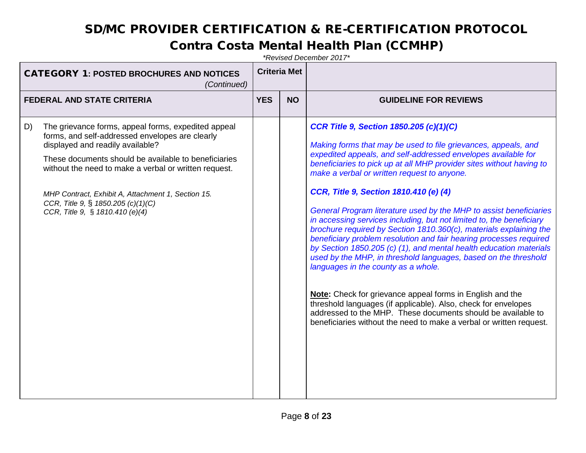#### Contra Costa Mental Health Plan (CCMHP)

| <b>CATEGORY 1: POSTED BROCHURES AND NOTICES</b><br>(Continued) |                                                                                                                                                                                                                                                                                                                                                                                            | <b>Criteria Met</b> |           |                                                                                                                                                                                                                                                                                                                                                                                                                                                                                                                                                                                                                                                                                                                                                                                                                                                                                                                                                                                                                                                                                                    |
|----------------------------------------------------------------|--------------------------------------------------------------------------------------------------------------------------------------------------------------------------------------------------------------------------------------------------------------------------------------------------------------------------------------------------------------------------------------------|---------------------|-----------|----------------------------------------------------------------------------------------------------------------------------------------------------------------------------------------------------------------------------------------------------------------------------------------------------------------------------------------------------------------------------------------------------------------------------------------------------------------------------------------------------------------------------------------------------------------------------------------------------------------------------------------------------------------------------------------------------------------------------------------------------------------------------------------------------------------------------------------------------------------------------------------------------------------------------------------------------------------------------------------------------------------------------------------------------------------------------------------------------|
|                                                                | <b>FEDERAL AND STATE CRITERIA</b>                                                                                                                                                                                                                                                                                                                                                          | <b>YES</b>          | <b>NO</b> | <b>GUIDELINE FOR REVIEWS</b>                                                                                                                                                                                                                                                                                                                                                                                                                                                                                                                                                                                                                                                                                                                                                                                                                                                                                                                                                                                                                                                                       |
| D)                                                             | The grievance forms, appeal forms, expedited appeal<br>forms, and self-addressed envelopes are clearly<br>displayed and readily available?<br>These documents should be available to beneficiaries<br>without the need to make a verbal or written request.<br>MHP Contract, Exhibit A, Attachment 1, Section 15.<br>CCR, Title 9, § 1850.205 (c)(1)(C)<br>CCR, Title 9, § 1810.410 (e)(4) |                     |           | <b>CCR Title 9, Section 1850.205 (c)(1)(C)</b><br>Making forms that may be used to file grievances, appeals, and<br>expedited appeals, and self-addressed envelopes available for<br>beneficiaries to pick up at all MHP provider sites without having to<br>make a verbal or written request to anyone.<br>CCR, Title 9, Section 1810.410 (e) (4)<br>General Program literature used by the MHP to assist beneficiaries<br>in accessing services including, but not limited to, the beneficiary<br>brochure required by Section 1810.360(c), materials explaining the<br>beneficiary problem resolution and fair hearing processes required<br>by Section 1850.205 (c) (1), and mental health education materials<br>used by the MHP, in threshold languages, based on the threshold<br>languages in the county as a whole.<br>Note: Check for grievance appeal forms in English and the<br>threshold languages (if applicable). Also, check for envelopes<br>addressed to the MHP. These documents should be available to<br>beneficiaries without the need to make a verbal or written request. |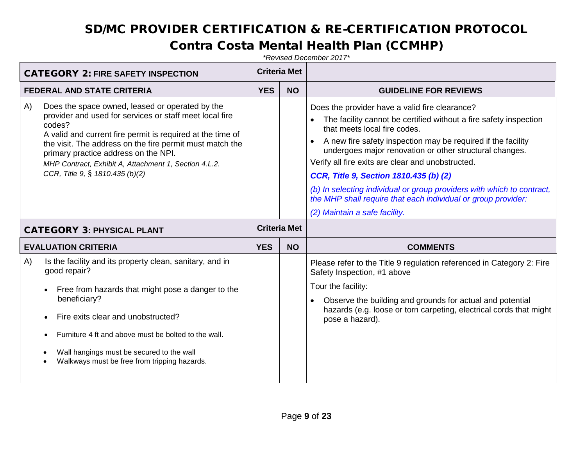#### Contra Costa Mental Health Plan (CCMHP)

| <b>CATEGORY 2: FIRE SAFETY INSPECTION</b>                                                                                                                                                                                                                                                                                                                                                |            | <b>Criteria Met</b> |                                                                                                                                                                                                                                                                                                                                                                                                                                                                                                                                                                        |
|------------------------------------------------------------------------------------------------------------------------------------------------------------------------------------------------------------------------------------------------------------------------------------------------------------------------------------------------------------------------------------------|------------|---------------------|------------------------------------------------------------------------------------------------------------------------------------------------------------------------------------------------------------------------------------------------------------------------------------------------------------------------------------------------------------------------------------------------------------------------------------------------------------------------------------------------------------------------------------------------------------------------|
| <b>FEDERAL AND STATE CRITERIA</b>                                                                                                                                                                                                                                                                                                                                                        |            | <b>NO</b>           | <b>GUIDELINE FOR REVIEWS</b>                                                                                                                                                                                                                                                                                                                                                                                                                                                                                                                                           |
| Does the space owned, leased or operated by the<br>A)<br>provider and used for services or staff meet local fire<br>codes?<br>A valid and current fire permit is required at the time of<br>the visit. The address on the fire permit must match the<br>primary practice address on the NPI.<br>MHP Contract, Exhibit A, Attachment 1, Section 4.L.2.<br>CCR, Title 9, § 1810.435 (b)(2) |            |                     | Does the provider have a valid fire clearance?<br>The facility cannot be certified without a fire safety inspection<br>that meets local fire codes.<br>A new fire safety inspection may be required if the facility<br>$\bullet$<br>undergoes major renovation or other structural changes.<br>Verify all fire exits are clear and unobstructed.<br>CCR, Title 9, Section 1810.435 (b) (2)<br>(b) In selecting individual or group providers with which to contract,<br>the MHP shall require that each individual or group provider:<br>(2) Maintain a safe facility. |
| <b>CATEGORY 3: PHYSICAL PLANT</b>                                                                                                                                                                                                                                                                                                                                                        |            | <b>Criteria Met</b> |                                                                                                                                                                                                                                                                                                                                                                                                                                                                                                                                                                        |
| <b>EVALUATION CRITERIA</b>                                                                                                                                                                                                                                                                                                                                                               | <b>YES</b> | <b>NO</b>           | <b>COMMENTS</b>                                                                                                                                                                                                                                                                                                                                                                                                                                                                                                                                                        |
| Is the facility and its property clean, sanitary, and in<br>A)<br>good repair?<br>Free from hazards that might pose a danger to the<br>$\bullet$<br>beneficiary?<br>Fire exits clear and unobstructed?<br>Furniture 4 ft and above must be bolted to the wall.<br>Wall hangings must be secured to the wall<br>Walkways must be free from tripping hazards.                              |            |                     | Please refer to the Title 9 regulation referenced in Category 2: Fire<br>Safety Inspection, #1 above<br>Tour the facility:<br>Observe the building and grounds for actual and potential<br>$\bullet$<br>hazards (e.g. loose or torn carpeting, electrical cords that might<br>pose a hazard).                                                                                                                                                                                                                                                                          |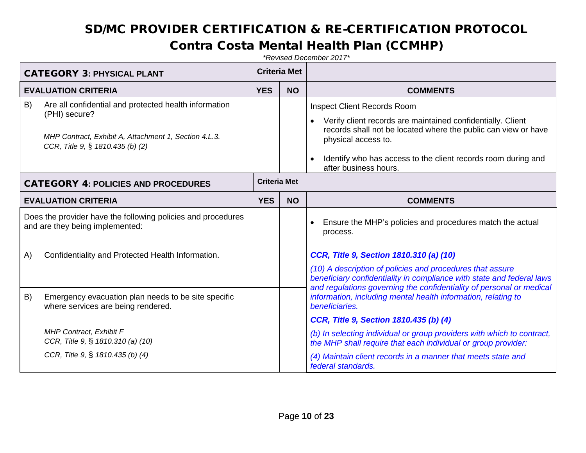#### Contra Costa Mental Health Plan (CCMHP)

| <b>CATEGORY 3: PHYSICAL PLANT</b>                       |                                                                                                                                                                     |                     | <b>Criteria Met</b> |                                                                                                                                                                                                                                                                                                   |
|---------------------------------------------------------|---------------------------------------------------------------------------------------------------------------------------------------------------------------------|---------------------|---------------------|---------------------------------------------------------------------------------------------------------------------------------------------------------------------------------------------------------------------------------------------------------------------------------------------------|
|                                                         | <b>EVALUATION CRITERIA</b>                                                                                                                                          | <b>YES</b>          | <b>NO</b>           | <b>COMMENTS</b>                                                                                                                                                                                                                                                                                   |
| B)                                                      | Are all confidential and protected health information<br>(PHI) secure?<br>MHP Contract, Exhibit A, Attachment 1, Section 4.L.3.<br>CCR, Title 9, § 1810.435 (b) (2) |                     |                     | <b>Inspect Client Records Room</b><br>Verify client records are maintained confidentially. Client<br>records shall not be located where the public can view or have<br>physical access to.<br>Identify who has access to the client records room during and<br>$\bullet$<br>after business hours. |
|                                                         | <b>CATEGORY 4: POLICIES AND PROCEDURES</b>                                                                                                                          | <b>Criteria Met</b> |                     |                                                                                                                                                                                                                                                                                                   |
|                                                         | <b>EVALUATION CRITERIA</b>                                                                                                                                          | <b>YES</b>          | <b>NO</b>           | <b>COMMENTS</b>                                                                                                                                                                                                                                                                                   |
|                                                         | Does the provider have the following policies and procedures<br>and are they being implemented:                                                                     |                     |                     | Ensure the MHP's policies and procedures match the actual<br>process.                                                                                                                                                                                                                             |
| Confidentiality and Protected Health Information.<br>A) |                                                                                                                                                                     |                     |                     | CCR, Title 9, Section 1810.310 (a) (10)<br>(10) A description of policies and procedures that assure<br>beneficiary confidentiality in compliance with state and federal laws                                                                                                                     |
| B)                                                      | Emergency evacuation plan needs to be site specific<br>where services are being rendered.                                                                           |                     |                     | and regulations governing the confidentiality of personal or medical<br>information, including mental health information, relating to<br>beneficiaries.                                                                                                                                           |
|                                                         |                                                                                                                                                                     |                     |                     | CCR, Title 9, Section 1810.435 (b) (4)                                                                                                                                                                                                                                                            |
|                                                         | MHP Contract, Exhibit F<br>CCR, Title 9, § 1810.310 (a) (10)                                                                                                        |                     |                     | (b) In selecting individual or group providers with which to contract,<br>the MHP shall require that each individual or group provider:                                                                                                                                                           |
|                                                         | CCR, Title 9, § 1810.435 (b) (4)                                                                                                                                    |                     |                     | (4) Maintain client records in a manner that meets state and<br>federal standards.                                                                                                                                                                                                                |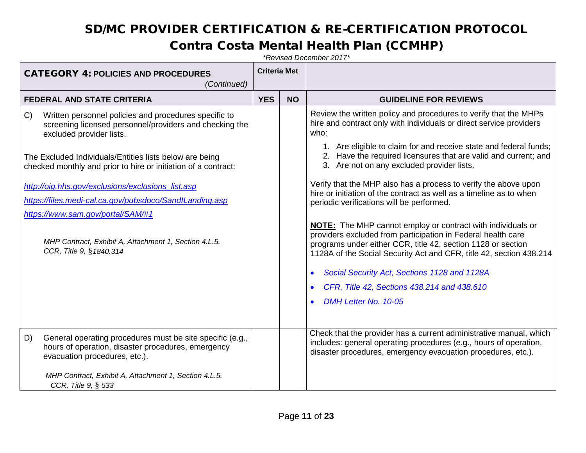#### Contra Costa Mental Health Plan (CCMHP)

| <b>CATEGORY 4: POLICIES AND PROCEDURES</b><br>(Continued)                                                                                                                                                                              |            | <b>Criteria Met</b> |                                                                                                                                                                                                                                                                           |
|----------------------------------------------------------------------------------------------------------------------------------------------------------------------------------------------------------------------------------------|------------|---------------------|---------------------------------------------------------------------------------------------------------------------------------------------------------------------------------------------------------------------------------------------------------------------------|
| <b>FEDERAL AND STATE CRITERIA</b>                                                                                                                                                                                                      | <b>YES</b> | <b>NO</b>           | <b>GUIDELINE FOR REVIEWS</b>                                                                                                                                                                                                                                              |
| Written personnel policies and procedures specific to<br>C)<br>screening licensed personnel/providers and checking the<br>excluded provider lists.                                                                                     |            |                     | Review the written policy and procedures to verify that the MHPs<br>hire and contract only with individuals or direct service providers<br>who:                                                                                                                           |
| The Excluded Individuals/Entities lists below are being<br>checked monthly and prior to hire or initiation of a contract:                                                                                                              |            |                     | 1. Are eligible to claim for and receive state and federal funds;<br>2. Have the required licensures that are valid and current; and<br>3. Are not on any excluded provider lists.                                                                                        |
| http://oig.hhs.gov/exclusions/exclusions_list.asp<br>https://files.medi-cal.ca.gov/pubsdoco/SandILanding.asp<br>https://www.sam.gov/portal/SAM/#1                                                                                      |            |                     | Verify that the MHP also has a process to verify the above upon<br>hire or initiation of the contract as well as a timeline as to when<br>periodic verifications will be performed.                                                                                       |
| MHP Contract, Exhibit A, Attachment 1, Section 4.L.5.<br>CCR, Title 9, §1840.314                                                                                                                                                       |            |                     | <b>NOTE:</b> The MHP cannot employ or contract with individuals or<br>providers excluded from participation in Federal health care<br>programs under either CCR, title 42, section 1128 or section<br>1128A of the Social Security Act and CFR, title 42, section 438.214 |
|                                                                                                                                                                                                                                        |            |                     | Social Security Act, Sections 1128 and 1128A                                                                                                                                                                                                                              |
|                                                                                                                                                                                                                                        |            |                     | CFR, Title 42, Sections 438.214 and 438.610                                                                                                                                                                                                                               |
|                                                                                                                                                                                                                                        |            |                     | DMH Letter No. 10-05                                                                                                                                                                                                                                                      |
| D)<br>General operating procedures must be site specific (e.g.,<br>hours of operation, disaster procedures, emergency<br>evacuation procedures, etc.).<br>MHP Contract, Exhibit A, Attachment 1, Section 4.L.5.<br>CCR, Title 9, § 533 |            |                     | Check that the provider has a current administrative manual, which<br>includes: general operating procedures (e.g., hours of operation,<br>disaster procedures, emergency evacuation procedures, etc.).                                                                   |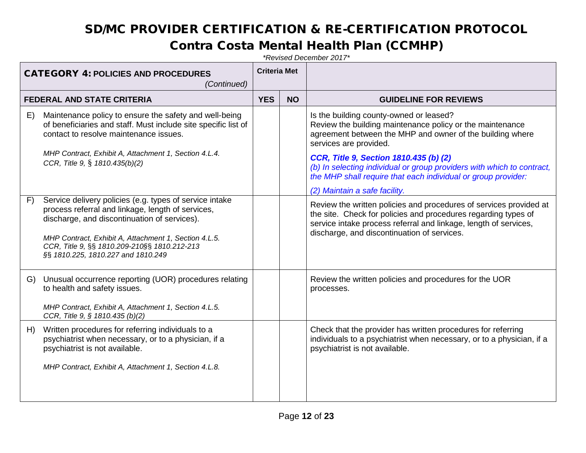#### Contra Costa Mental Health Plan (CCMHP)

| <b>CATEGORY 4: POLICIES AND PROCEDURES</b><br>(Continued) |                                                                                                                                                                                                                                                                                                             | <b>Criteria Met</b> |           |                                                                                                                                                                                                                                                         |
|-----------------------------------------------------------|-------------------------------------------------------------------------------------------------------------------------------------------------------------------------------------------------------------------------------------------------------------------------------------------------------------|---------------------|-----------|---------------------------------------------------------------------------------------------------------------------------------------------------------------------------------------------------------------------------------------------------------|
|                                                           | <b>FEDERAL AND STATE CRITERIA</b>                                                                                                                                                                                                                                                                           | <b>YES</b>          | <b>NO</b> | <b>GUIDELINE FOR REVIEWS</b>                                                                                                                                                                                                                            |
| E)                                                        | Maintenance policy to ensure the safety and well-being<br>of beneficiaries and staff. Must include site specific list of<br>contact to resolve maintenance issues.<br>MHP Contract, Exhibit A, Attachment 1, Section 4.L.4.                                                                                 |                     |           | Is the building county-owned or leased?<br>Review the building maintenance policy or the maintenance<br>agreement between the MHP and owner of the building where<br>services are provided.                                                             |
|                                                           | CCR, Title 9, § 1810.435(b)(2)                                                                                                                                                                                                                                                                              |                     |           | CCR, Title 9, Section 1810.435 (b) (2)<br>(b) In selecting individual or group providers with which to contract,<br>the MHP shall require that each individual or group provider:<br>(2) Maintain a safe facility.                                      |
| F)                                                        | Service delivery policies (e.g. types of service intake<br>process referral and linkage, length of services,<br>discharge, and discontinuation of services).<br>MHP Contract, Exhibit A, Attachment 1, Section 4.L.5.<br>CCR, Title 9, §§ 1810.209-210§§ 1810.212-213<br>§§ 1810.225, 1810.227 and 1810.249 |                     |           | Review the written policies and procedures of services provided at<br>the site. Check for policies and procedures regarding types of<br>service intake process referral and linkage, length of services,<br>discharge, and discontinuation of services. |
| G)                                                        | Unusual occurrence reporting (UOR) procedures relating<br>to health and safety issues.<br>MHP Contract, Exhibit A, Attachment 1, Section 4.L.5.<br>CCR, Title 9, § 1810.435 (b)(2)                                                                                                                          |                     |           | Review the written policies and procedures for the UOR<br>processes.                                                                                                                                                                                    |
| H)                                                        | Written procedures for referring individuals to a<br>psychiatrist when necessary, or to a physician, if a<br>psychiatrist is not available.<br>MHP Contract, Exhibit A, Attachment 1, Section 4.L.8.                                                                                                        |                     |           | Check that the provider has written procedures for referring<br>individuals to a psychiatrist when necessary, or to a physician, if a<br>psychiatrist is not available.                                                                                 |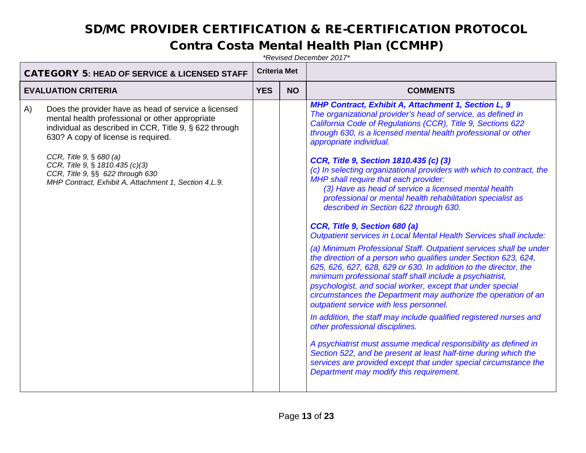#### Contra Costa Mental Health Plan (CCMHP)

| <b>CATEGORY 5: HEAD OF SERVICE &amp; LICENSED STAFF</b> |                                                                                                                                                                                                                                                                                                                                                                        | <b>Criteria Met</b> |           |                                                                                                                                                                                                                                                                                                                                                                                                                                                                                                                                                                                                                                                                                                                                                                                                                                                                                                                                                                                                                                                                                                                                                                                                                                                                                                                                                                                                                                                                                                                                            |
|---------------------------------------------------------|------------------------------------------------------------------------------------------------------------------------------------------------------------------------------------------------------------------------------------------------------------------------------------------------------------------------------------------------------------------------|---------------------|-----------|--------------------------------------------------------------------------------------------------------------------------------------------------------------------------------------------------------------------------------------------------------------------------------------------------------------------------------------------------------------------------------------------------------------------------------------------------------------------------------------------------------------------------------------------------------------------------------------------------------------------------------------------------------------------------------------------------------------------------------------------------------------------------------------------------------------------------------------------------------------------------------------------------------------------------------------------------------------------------------------------------------------------------------------------------------------------------------------------------------------------------------------------------------------------------------------------------------------------------------------------------------------------------------------------------------------------------------------------------------------------------------------------------------------------------------------------------------------------------------------------------------------------------------------------|
| <b>EVALUATION CRITERIA</b>                              |                                                                                                                                                                                                                                                                                                                                                                        | <b>YES</b>          | <b>NO</b> | <b>COMMENTS</b>                                                                                                                                                                                                                                                                                                                                                                                                                                                                                                                                                                                                                                                                                                                                                                                                                                                                                                                                                                                                                                                                                                                                                                                                                                                                                                                                                                                                                                                                                                                            |
| A)                                                      | Does the provider have as head of service a licensed<br>mental health professional or other appropriate<br>individual as described in CCR, Title 9, § 622 through<br>630? A copy of license is required.<br>CCR, Title $9, \S 680 (a)$<br>CCR, Title 9, § 1810.435 (c)(3)<br>CCR, Title 9, §§ 622 through 630<br>MHP Contract, Exhibit A, Attachment 1, Section 4.L.9. |                     |           | <b>MHP Contract, Exhibit A, Attachment 1, Section L, 9</b><br>The organizational provider's head of service, as defined in<br>California Code of Regulations (CCR), Title 9, Sections 622<br>through 630, is a licensed mental health professional or other<br>appropriate individual.<br>CCR, Title 9, Section 1810.435 (c) (3)<br>(c) In selecting organizational providers with which to contract, the<br>MHP shall require that each provider:<br>(3) Have as head of service a licensed mental health<br>professional or mental health rehabilitation specialist as<br>described in Section 622 through 630.<br>CCR, Title 9, Section 680 (a)<br>Outpatient services in Local Mental Health Services shall include:<br>(a) Minimum Professional Staff. Outpatient services shall be under<br>the direction of a person who qualifies under Section 623, 624,<br>625, 626, 627, 628, 629 or 630. In addition to the director, the<br>minimum professional staff shall include a psychiatrist,<br>psychologist, and social worker, except that under special<br>circumstances the Department may authorize the operation of an<br>outpatient service with less personnel.<br>In addition, the staff may include qualified registered nurses and<br>other professional disciplines.<br>A psychiatrist must assume medical responsibility as defined in<br>Section 522, and be present at least half-time during which the<br>services are provided except that under special circumstance the<br>Department may modify this requirement. |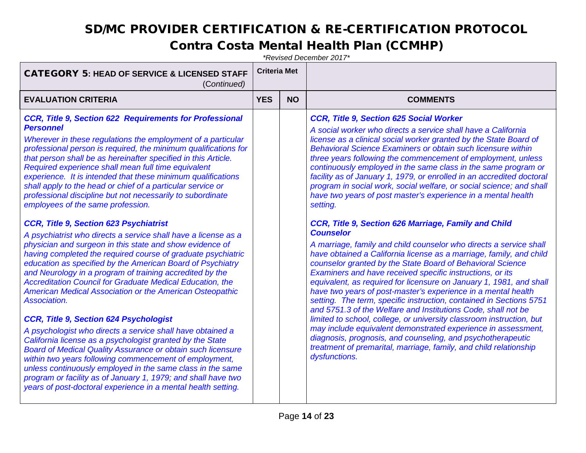#### Contra Costa Mental Health Plan (CCMHP)

| <b>COMMENTS</b>                                                                                                                                                                                                                                                                                                                                                                                                                                                                                                                                                                                                                                                                                                                                                                                                                                                                                                                                                                                                                                                                                                                                                                                                                                                                                                                                                                                                                                                                                                                                               |  |
|---------------------------------------------------------------------------------------------------------------------------------------------------------------------------------------------------------------------------------------------------------------------------------------------------------------------------------------------------------------------------------------------------------------------------------------------------------------------------------------------------------------------------------------------------------------------------------------------------------------------------------------------------------------------------------------------------------------------------------------------------------------------------------------------------------------------------------------------------------------------------------------------------------------------------------------------------------------------------------------------------------------------------------------------------------------------------------------------------------------------------------------------------------------------------------------------------------------------------------------------------------------------------------------------------------------------------------------------------------------------------------------------------------------------------------------------------------------------------------------------------------------------------------------------------------------|--|
| <b>CCR, Title 9, Section 625 Social Worker</b><br>A social worker who directs a service shall have a California<br>license as a clinical social worker granted by the State Board of<br><b>Behavioral Science Examiners or obtain such licensure within</b><br>three years following the commencement of employment, unless<br>continuously employed in the same class in the same program or<br>facility as of January 1, 1979, or enrolled in an accredited doctoral<br>program in social work, social welfare, or social science; and shall<br>have two years of post master's experience in a mental health<br>setting.<br>CCR, Title 9, Section 626 Marriage, Family and Child<br><b>Counselor</b><br>A marriage, family and child counselor who directs a service shall<br>have obtained a California license as a marriage, family, and child<br>counselor granted by the State Board of Behavioral Science<br>Examiners and have received specific instructions, or its<br>equivalent, as required for licensure on January 1, 1981, and shall<br>have two years of post-master's experience in a mental health<br>setting. The term, specific instruction, contained in Sections 5751<br>and 5751.3 of the Welfare and Institutions Code, shall not be<br>limited to school, college, or university classroom instruction, but<br>may include equivalent demonstrated experience in assessment,<br>diagnosis, prognosis, and counseling, and psychotherapeutic<br>treatment of premarital, marriage, family, and child relationship<br>dysfunctions. |  |
|                                                                                                                                                                                                                                                                                                                                                                                                                                                                                                                                                                                                                                                                                                                                                                                                                                                                                                                                                                                                                                                                                                                                                                                                                                                                                                                                                                                                                                                                                                                                                               |  |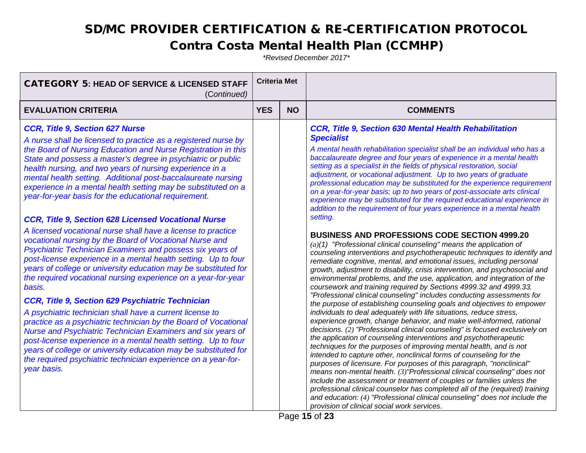#### Contra Costa Mental Health Plan (CCMHP)

| <b>CATEGORY 5: HEAD OF SERVICE &amp; LICENSED STAFF</b><br>(Continued)                                                                                                                                                                                                                                                                                                                                                                                                                                                                                                                                                                                                                                                                                                                                                                                                                                                                                                                                                                                                                                                                                                                                                                                                                                                                                                                                                               |            | <b>Criteria Met</b> |                                                                                                                                                                                                                                                                                                                                                                                                                                                                                                                                                                                                                                                                                                                                                                                                                                                                                                                                                                                                                                                                                                                                                                                                                                                                                                                                                                                                                                                                                                                                                                                                                                                                                                                                                                                                                                                                                                                                                                                                                                                                                                                                                                                                                                                                               |
|--------------------------------------------------------------------------------------------------------------------------------------------------------------------------------------------------------------------------------------------------------------------------------------------------------------------------------------------------------------------------------------------------------------------------------------------------------------------------------------------------------------------------------------------------------------------------------------------------------------------------------------------------------------------------------------------------------------------------------------------------------------------------------------------------------------------------------------------------------------------------------------------------------------------------------------------------------------------------------------------------------------------------------------------------------------------------------------------------------------------------------------------------------------------------------------------------------------------------------------------------------------------------------------------------------------------------------------------------------------------------------------------------------------------------------------|------------|---------------------|-------------------------------------------------------------------------------------------------------------------------------------------------------------------------------------------------------------------------------------------------------------------------------------------------------------------------------------------------------------------------------------------------------------------------------------------------------------------------------------------------------------------------------------------------------------------------------------------------------------------------------------------------------------------------------------------------------------------------------------------------------------------------------------------------------------------------------------------------------------------------------------------------------------------------------------------------------------------------------------------------------------------------------------------------------------------------------------------------------------------------------------------------------------------------------------------------------------------------------------------------------------------------------------------------------------------------------------------------------------------------------------------------------------------------------------------------------------------------------------------------------------------------------------------------------------------------------------------------------------------------------------------------------------------------------------------------------------------------------------------------------------------------------------------------------------------------------------------------------------------------------------------------------------------------------------------------------------------------------------------------------------------------------------------------------------------------------------------------------------------------------------------------------------------------------------------------------------------------------------------------------------------------------|
| <b>EVALUATION CRITERIA</b>                                                                                                                                                                                                                                                                                                                                                                                                                                                                                                                                                                                                                                                                                                                                                                                                                                                                                                                                                                                                                                                                                                                                                                                                                                                                                                                                                                                                           | <b>YES</b> | <b>NO</b>           | <b>COMMENTS</b>                                                                                                                                                                                                                                                                                                                                                                                                                                                                                                                                                                                                                                                                                                                                                                                                                                                                                                                                                                                                                                                                                                                                                                                                                                                                                                                                                                                                                                                                                                                                                                                                                                                                                                                                                                                                                                                                                                                                                                                                                                                                                                                                                                                                                                                               |
| CCR, Title 9, Section 627 Nurse<br>A nurse shall be licensed to practice as a registered nurse by<br>the Board of Nursing Education and Nurse Registration in this<br>State and possess a master's degree in psychiatric or public<br>health nursing, and two years of nursing experience in a<br>mental health setting. Additional post-baccalaureate nursing<br>experience in a mental health setting may be substituted on a<br>year-for-year basis for the educational requirement.<br><b>CCR, Title 9, Section 628 Licensed Vocational Nurse</b><br>A licensed vocational nurse shall have a license to practice<br>vocational nursing by the Board of Vocational Nurse and<br>Psychiatric Technician Examiners and possess six years of<br>post-license experience in a mental health setting. Up to four<br>years of college or university education may be substituted for<br>the required vocational nursing experience on a year-for-year<br>basis.<br>CCR, Title 9, Section 629 Psychiatric Technician<br>A psychiatric technician shall have a current license to<br>practice as a psychiatric technician by the Board of Vocational<br>Nurse and Psychiatric Technician Examiners and six years of<br>post-license experience in a mental health setting. Up to four<br>years of college or university education may be substituted for<br>the required psychiatric technician experience on a year-for-<br>year basis. |            |                     | CCR, Title 9, Section 630 Mental Health Rehabilitation<br><b>Specialist</b><br>A mental health rehabilitation specialist shall be an individual who has a<br>baccalaureate degree and four years of experience in a mental health<br>setting as a specialist in the fields of physical restoration, social<br>adjustment, or vocational adjustment. Up to two years of graduate<br>professional education may be substituted for the experience requirement<br>on a year-for-year basis; up to two years of post-associate arts clinical<br>experience may be substituted for the required educational experience in<br>addition to the requirement of four years experience in a mental health<br>setting.<br><b>BUSINESS AND PROFESSIONS CODE SECTION 4999.20</b><br>$(a)(1)$ "Professional clinical counseling" means the application of<br>counseling interventions and psychotherapeutic techniques to identify and<br>remediate cognitive, mental, and emotional issues, including personal<br>growth, adjustment to disability, crisis intervention, and psychosocial and<br>environmental problems, and the use, application, and integration of the<br>coursework and training required by Sections 4999.32 and 4999.33.<br>"Professional clinical counseling" includes conducting assessments for<br>the purpose of establishing counseling goals and objectives to empower<br>individuals to deal adequately with life situations, reduce stress,<br>experience growth, change behavior, and make well-informed, rational<br>decisions. (2) "Professional clinical counseling" is focused exclusively on<br>the application of counseling interventions and psychotherapeutic<br>techniques for the purposes of improving mental health, and is not<br>intended to capture other, nonclinical forms of counseling for the<br>purposes of licensure. For purposes of this paragraph, "nonclinical"<br>means non-mental health. (3)"Professional clinical counseling" does not<br>include the assessment or treatment of couples or families unless the<br>professional clinical counselor has completed all of the (required) training<br>and education: (4) "Professional clinical counseling" does not include the<br>provision of clinical social work services. |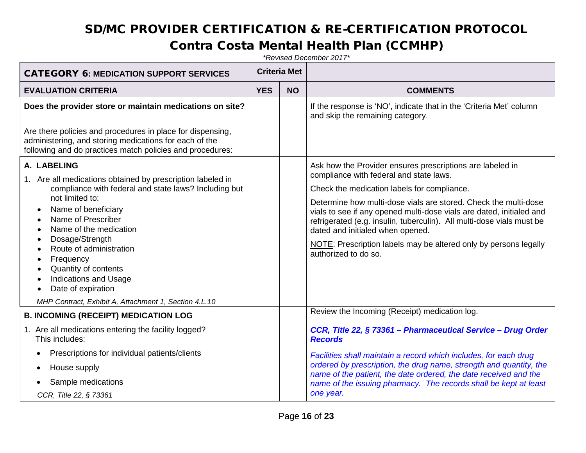#### Contra Costa Mental Health Plan (CCMHP)

| <b>CATEGORY 6: MEDICATION SUPPORT SERVICES</b>                                                                                                                                    |            | <b>Criteria Met</b> |                                                                                                                                                                                                                                                      |
|-----------------------------------------------------------------------------------------------------------------------------------------------------------------------------------|------------|---------------------|------------------------------------------------------------------------------------------------------------------------------------------------------------------------------------------------------------------------------------------------------|
| <b>EVALUATION CRITERIA</b>                                                                                                                                                        | <b>YES</b> | <b>NO</b>           | <b>COMMENTS</b>                                                                                                                                                                                                                                      |
| Does the provider store or maintain medications on site?                                                                                                                          |            |                     | If the response is 'NO', indicate that in the 'Criteria Met' column<br>and skip the remaining category.                                                                                                                                              |
| Are there policies and procedures in place for dispensing,<br>administering, and storing medications for each of the<br>following and do practices match policies and procedures: |            |                     |                                                                                                                                                                                                                                                      |
| A. LABELING<br>1. Are all medications obtained by prescription labeled in                                                                                                         |            |                     | Ask how the Provider ensures prescriptions are labeled in<br>compliance with federal and state laws.                                                                                                                                                 |
| compliance with federal and state laws? Including but                                                                                                                             |            |                     | Check the medication labels for compliance.                                                                                                                                                                                                          |
| not limited to:<br>Name of beneficiary<br>$\bullet$<br>Name of Prescriber<br>$\bullet$<br>Name of the medication<br>Dosage/Strength<br>$\bullet$                                  |            |                     | Determine how multi-dose vials are stored. Check the multi-dose<br>vials to see if any opened multi-dose vials are dated, initialed and<br>refrigerated (e.g. insulin, tuberculin). All multi-dose vials must be<br>dated and initialed when opened. |
| Route of administration<br>$\bullet$<br>Frequency<br>$\bullet$<br>Quantity of contents<br>$\bullet$<br><b>Indications and Usage</b><br>$\bullet$<br>Date of expiration            |            |                     | NOTE: Prescription labels may be altered only by persons legally<br>authorized to do so.                                                                                                                                                             |
| MHP Contract, Exhibit A, Attachment 1, Section 4.L.10                                                                                                                             |            |                     |                                                                                                                                                                                                                                                      |
| <b>B. INCOMING (RECEIPT) MEDICATION LOG</b>                                                                                                                                       |            |                     | Review the Incoming (Receipt) medication log.                                                                                                                                                                                                        |
| 1. Are all medications entering the facility logged?<br>This includes:                                                                                                            |            |                     | CCR, Title 22, § 73361 - Pharmaceutical Service - Drug Order<br><b>Records</b>                                                                                                                                                                       |
| Prescriptions for individual patients/clients<br>٠                                                                                                                                |            |                     | Facilities shall maintain a record which includes, for each drug                                                                                                                                                                                     |
| House supply<br>٠                                                                                                                                                                 |            |                     | ordered by prescription, the drug name, strength and quantity, the<br>name of the patient, the date ordered, the date received and the                                                                                                               |
| Sample medications<br>CCR, Title 22, § 73361                                                                                                                                      |            |                     | name of the issuing pharmacy. The records shall be kept at least<br>one year.                                                                                                                                                                        |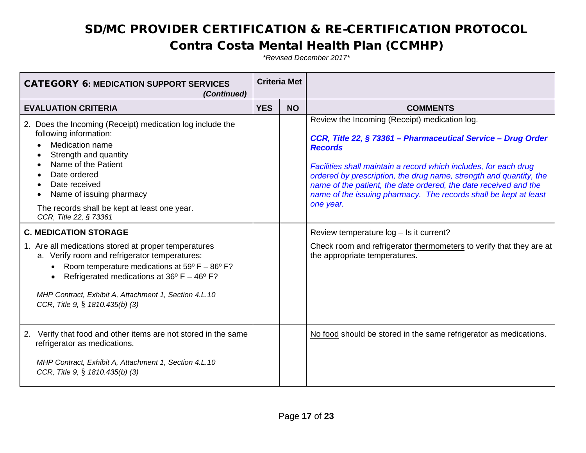#### Contra Costa Mental Health Plan (CCMHP)

| <b>Criteria Met</b> |           |                                                                                                                                                                                                                                                                                                                                                                                                                                |  |
|---------------------|-----------|--------------------------------------------------------------------------------------------------------------------------------------------------------------------------------------------------------------------------------------------------------------------------------------------------------------------------------------------------------------------------------------------------------------------------------|--|
| <b>YES</b>          | <b>NO</b> | <b>COMMENTS</b>                                                                                                                                                                                                                                                                                                                                                                                                                |  |
|                     |           | Review the Incoming (Receipt) medication log.<br>CCR, Title 22, § 73361 - Pharmaceutical Service - Drug Order<br><b>Records</b><br>Facilities shall maintain a record which includes, for each drug<br>ordered by prescription, the drug name, strength and quantity, the<br>name of the patient, the date ordered, the date received and the<br>name of the issuing pharmacy. The records shall be kept at least<br>one year. |  |
|                     |           | Review temperature log - Is it current?                                                                                                                                                                                                                                                                                                                                                                                        |  |
|                     |           | Check room and refrigerator thermometers to verify that they are at<br>the appropriate temperatures.                                                                                                                                                                                                                                                                                                                           |  |
|                     |           | No food should be stored in the same refrigerator as medications.                                                                                                                                                                                                                                                                                                                                                              |  |
|                     |           |                                                                                                                                                                                                                                                                                                                                                                                                                                |  |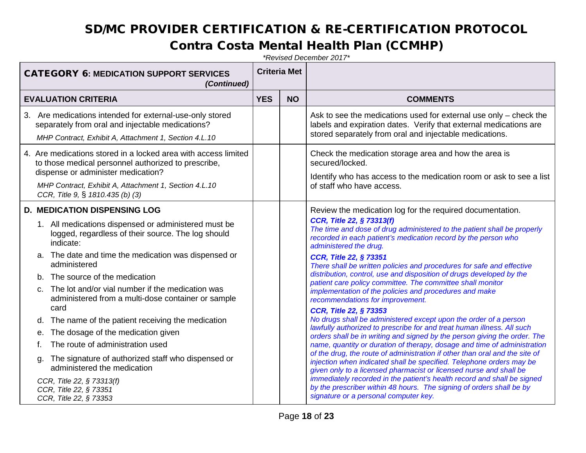#### Contra Costa Mental Health Plan (CCMHP)

| <b>CATEGORY 6: MEDICATION SUPPORT SERVICES</b><br>(Continued)                                                                                                                                                                                                                                                                                                                                                                                                                                                                                                                                                                                                                                                                                |            | <b>Criteria Met</b> |                                                                                                                                                                                                                                                                                                                                                                                                                                                                                                                                                                                                                                                                                                                                                                                                                                                                                                                                                                                                                                                                                                                                                                                                                                                                                                                                                                       |
|----------------------------------------------------------------------------------------------------------------------------------------------------------------------------------------------------------------------------------------------------------------------------------------------------------------------------------------------------------------------------------------------------------------------------------------------------------------------------------------------------------------------------------------------------------------------------------------------------------------------------------------------------------------------------------------------------------------------------------------------|------------|---------------------|-----------------------------------------------------------------------------------------------------------------------------------------------------------------------------------------------------------------------------------------------------------------------------------------------------------------------------------------------------------------------------------------------------------------------------------------------------------------------------------------------------------------------------------------------------------------------------------------------------------------------------------------------------------------------------------------------------------------------------------------------------------------------------------------------------------------------------------------------------------------------------------------------------------------------------------------------------------------------------------------------------------------------------------------------------------------------------------------------------------------------------------------------------------------------------------------------------------------------------------------------------------------------------------------------------------------------------------------------------------------------|
| <b>EVALUATION CRITERIA</b>                                                                                                                                                                                                                                                                                                                                                                                                                                                                                                                                                                                                                                                                                                                   | <b>YES</b> | <b>NO</b>           | <b>COMMENTS</b>                                                                                                                                                                                                                                                                                                                                                                                                                                                                                                                                                                                                                                                                                                                                                                                                                                                                                                                                                                                                                                                                                                                                                                                                                                                                                                                                                       |
| 3. Are medications intended for external-use-only stored<br>separately from oral and injectable medications?<br>MHP Contract, Exhibit A, Attachment 1, Section 4.L.10                                                                                                                                                                                                                                                                                                                                                                                                                                                                                                                                                                        |            |                     | Ask to see the medications used for external use only – check the<br>labels and expiration dates. Verify that external medications are<br>stored separately from oral and injectable medications.                                                                                                                                                                                                                                                                                                                                                                                                                                                                                                                                                                                                                                                                                                                                                                                                                                                                                                                                                                                                                                                                                                                                                                     |
| 4. Are medications stored in a locked area with access limited<br>to those medical personnel authorized to prescribe,<br>dispense or administer medication?<br>MHP Contract, Exhibit A, Attachment 1, Section 4.L.10<br>CCR, Title 9, § 1810.435 (b) (3)                                                                                                                                                                                                                                                                                                                                                                                                                                                                                     |            |                     | Check the medication storage area and how the area is<br>secured/locked.<br>Identify who has access to the medication room or ask to see a list<br>of staff who have access.                                                                                                                                                                                                                                                                                                                                                                                                                                                                                                                                                                                                                                                                                                                                                                                                                                                                                                                                                                                                                                                                                                                                                                                          |
| <b>D. MEDICATION DISPENSING LOG</b><br>1. All medications dispensed or administered must be<br>logged, regardless of their source. The log should<br>indicate:<br>a. The date and time the medication was dispensed or<br>administered<br>The source of the medication<br>b <sub>1</sub><br>The lot and/or vial number if the medication was<br>C.<br>administered from a multi-dose container or sample<br>card<br>The name of the patient receiving the medication<br>d.<br>The dosage of the medication given<br>е.<br>The route of administration used<br>t.<br>The signature of authorized staff who dispensed or<br>α.<br>administered the medication<br>CCR, Title 22, § 73313(f)<br>CCR, Title 22, § 73351<br>CCR, Title 22, § 73353 |            |                     | Review the medication log for the required documentation.<br>CCR, Title 22, § 73313(f)<br>The time and dose of drug administered to the patient shall be properly<br>recorded in each patient's medication record by the person who<br>administered the drug.<br><b>CCR, Title 22, § 73351</b><br>There shall be written policies and procedures for safe and effective<br>distribution, control, use and disposition of drugs developed by the<br>patient care policy committee. The committee shall monitor<br>implementation of the policies and procedures and make<br>recommendations for improvement.<br>CCR, Title 22, § 73353<br>No drugs shall be administered except upon the order of a person<br>lawfully authorized to prescribe for and treat human illness. All such<br>orders shall be in writing and signed by the person giving the order. The<br>name, quantity or duration of therapy, dosage and time of administration<br>of the drug, the route of administration if other than oral and the site of<br>injection when indicated shall be specified. Telephone orders may be<br>given only to a licensed pharmacist or licensed nurse and shall be<br>immediately recorded in the patient's health record and shall be signed<br>by the prescriber within 48 hours. The signing of orders shall be by<br>signature or a personal computer key. |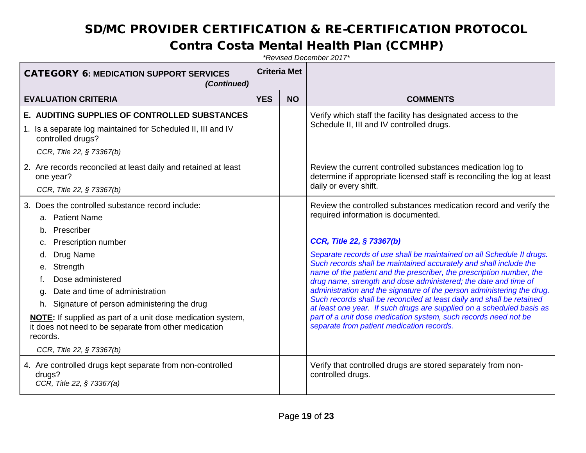#### Contra Costa Mental Health Plan (CCMHP)

| <b>CATEGORY 6: MEDICATION SUPPORT SERVICES</b><br>(Continued)                                                                                                                                                                                                                                                                                                                                              |            | <b>Criteria Met</b> |                                                                                                                                                                                                                                                                                                                                                                                                                                                                                                                                                                                                                                                                                                                                                                            |
|------------------------------------------------------------------------------------------------------------------------------------------------------------------------------------------------------------------------------------------------------------------------------------------------------------------------------------------------------------------------------------------------------------|------------|---------------------|----------------------------------------------------------------------------------------------------------------------------------------------------------------------------------------------------------------------------------------------------------------------------------------------------------------------------------------------------------------------------------------------------------------------------------------------------------------------------------------------------------------------------------------------------------------------------------------------------------------------------------------------------------------------------------------------------------------------------------------------------------------------------|
| <b>EVALUATION CRITERIA</b>                                                                                                                                                                                                                                                                                                                                                                                 | <b>YES</b> | <b>NO</b>           | <b>COMMENTS</b>                                                                                                                                                                                                                                                                                                                                                                                                                                                                                                                                                                                                                                                                                                                                                            |
| E. AUDITING SUPPLIES OF CONTROLLED SUBSTANCES<br>1. Is a separate log maintained for Scheduled II, III and IV<br>controlled drugs?<br>CCR, Title 22, § 73367(b)                                                                                                                                                                                                                                            |            |                     | Verify which staff the facility has designated access to the<br>Schedule II, III and IV controlled drugs.                                                                                                                                                                                                                                                                                                                                                                                                                                                                                                                                                                                                                                                                  |
| 2. Are records reconciled at least daily and retained at least<br>one year?<br>CCR, Title 22, § 73367(b)                                                                                                                                                                                                                                                                                                   |            |                     | Review the current controlled substances medication log to<br>determine if appropriate licensed staff is reconciling the log at least<br>daily or every shift.                                                                                                                                                                                                                                                                                                                                                                                                                                                                                                                                                                                                             |
| 3. Does the controlled substance record include:<br>a. Patient Name<br>b. Prescriber<br><b>Prescription number</b><br>C.<br>Drug Name<br>Strength<br>е.<br>Dose administered<br>Date and time of administration<br>q.<br>h. Signature of person administering the drug<br>NOTE: If supplied as part of a unit dose medication system,<br>it does not need to be separate from other medication<br>records. |            |                     | Review the controlled substances medication record and verify the<br>required information is documented.<br>CCR, Title 22, § 73367(b)<br>Separate records of use shall be maintained on all Schedule II drugs.<br>Such records shall be maintained accurately and shall include the<br>name of the patient and the prescriber, the prescription number, the<br>drug name, strength and dose administered; the date and time of<br>administration and the signature of the person administering the drug.<br>Such records shall be reconciled at least daily and shall be retained<br>at least one year. If such drugs are supplied on a scheduled basis as<br>part of a unit dose medication system, such records need not be<br>separate from patient medication records. |
| CCR, Title 22, § 73367(b)<br>4. Are controlled drugs kept separate from non-controlled<br>drugs?<br>CCR, Title 22, § 73367(a)                                                                                                                                                                                                                                                                              |            |                     | Verify that controlled drugs are stored separately from non-<br>controlled drugs.                                                                                                                                                                                                                                                                                                                                                                                                                                                                                                                                                                                                                                                                                          |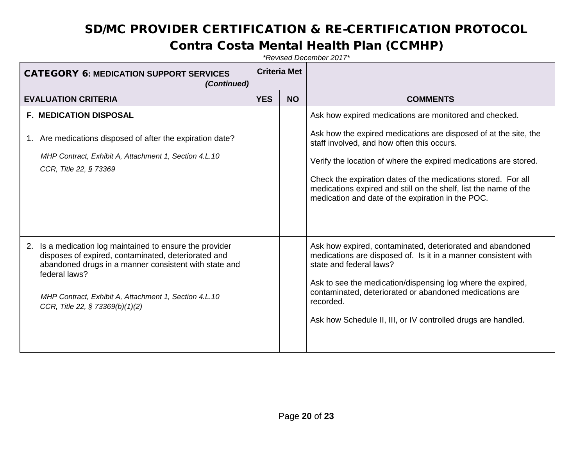#### Contra Costa Mental Health Plan (CCMHP)

| <b>CATEGORY 6: MEDICATION SUPPORT SERVICES</b><br>(Continued)                                                                                                                                                                                                                            | <b>Criteria Met</b> |           |                                                                                                                                                                                                                                                                                                                                                                                                                                        |
|------------------------------------------------------------------------------------------------------------------------------------------------------------------------------------------------------------------------------------------------------------------------------------------|---------------------|-----------|----------------------------------------------------------------------------------------------------------------------------------------------------------------------------------------------------------------------------------------------------------------------------------------------------------------------------------------------------------------------------------------------------------------------------------------|
| <b>EVALUATION CRITERIA</b>                                                                                                                                                                                                                                                               | <b>YES</b>          | <b>NO</b> | <b>COMMENTS</b>                                                                                                                                                                                                                                                                                                                                                                                                                        |
| <b>F. MEDICATION DISPOSAL</b><br>1. Are medications disposed of after the expiration date?<br>MHP Contract, Exhibit A, Attachment 1, Section 4.L.10<br>CCR, Title 22, § 73369                                                                                                            |                     |           | Ask how expired medications are monitored and checked.<br>Ask how the expired medications are disposed of at the site, the<br>staff involved, and how often this occurs.<br>Verify the location of where the expired medications are stored.<br>Check the expiration dates of the medications stored. For all<br>medications expired and still on the shelf, list the name of the<br>medication and date of the expiration in the POC. |
| Is a medication log maintained to ensure the provider<br>2.<br>disposes of expired, contaminated, deteriorated and<br>abandoned drugs in a manner consistent with state and<br>federal laws?<br>MHP Contract, Exhibit A, Attachment 1, Section 4.L.10<br>CCR, Title 22, § 73369(b)(1)(2) |                     |           | Ask how expired, contaminated, deteriorated and abandoned<br>medications are disposed of. Is it in a manner consistent with<br>state and federal laws?<br>Ask to see the medication/dispensing log where the expired,<br>contaminated, deteriorated or abandoned medications are<br>recorded.<br>Ask how Schedule II, III, or IV controlled drugs are handled.                                                                         |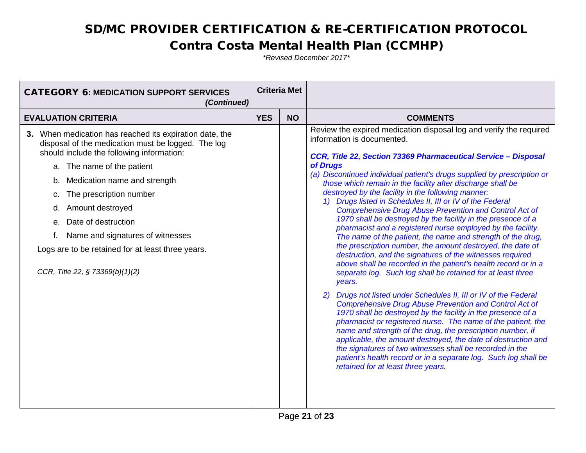#### Contra Costa Mental Health Plan (CCMHP)

| <b>CATEGORY 6: MEDICATION SUPPORT SERVICES</b><br>(Continued)                                                                                                                                                                                                                                                                                                                                                                                            |  | <b>Criteria Met</b> |                                                                                                                                                                                                                                                                                                                                                                                                                                                                                                                                                                                                                                                                                                                                                                                                                                                                                                                                                                                                                                                                                                                                                                                                                                                                                                                                                                                                                                                                                                                                                           |  |
|----------------------------------------------------------------------------------------------------------------------------------------------------------------------------------------------------------------------------------------------------------------------------------------------------------------------------------------------------------------------------------------------------------------------------------------------------------|--|---------------------|-----------------------------------------------------------------------------------------------------------------------------------------------------------------------------------------------------------------------------------------------------------------------------------------------------------------------------------------------------------------------------------------------------------------------------------------------------------------------------------------------------------------------------------------------------------------------------------------------------------------------------------------------------------------------------------------------------------------------------------------------------------------------------------------------------------------------------------------------------------------------------------------------------------------------------------------------------------------------------------------------------------------------------------------------------------------------------------------------------------------------------------------------------------------------------------------------------------------------------------------------------------------------------------------------------------------------------------------------------------------------------------------------------------------------------------------------------------------------------------------------------------------------------------------------------------|--|
| <b>EVALUATION CRITERIA</b>                                                                                                                                                                                                                                                                                                                                                                                                                               |  | <b>NO</b>           | <b>COMMENTS</b>                                                                                                                                                                                                                                                                                                                                                                                                                                                                                                                                                                                                                                                                                                                                                                                                                                                                                                                                                                                                                                                                                                                                                                                                                                                                                                                                                                                                                                                                                                                                           |  |
| 3. When medication has reached its expiration date, the<br>disposal of the medication must be logged. The log<br>should include the following information:<br>a. The name of the patient<br>Medication name and strength<br>b.<br>The prescription number<br>c.<br>Amount destroyed<br>d.<br>Date of destruction<br>е.<br>Name and signatures of witnesses<br>f.<br>Logs are to be retained for at least three years.<br>CCR, Title 22, § 73369(b)(1)(2) |  |                     | Review the expired medication disposal log and verify the required<br>information is documented.<br>CCR, Title 22, Section 73369 Pharmaceutical Service - Disposal<br>of Drugs<br>(a) Discontinued individual patient's drugs supplied by prescription or<br>those which remain in the facility after discharge shall be<br>destroyed by the facility in the following manner:<br>1) Drugs listed in Schedules II, III or IV of the Federal<br><b>Comprehensive Drug Abuse Prevention and Control Act of</b><br>1970 shall be destroyed by the facility in the presence of a<br>pharmacist and a registered nurse employed by the facility.<br>The name of the patient, the name and strength of the drug,<br>the prescription number, the amount destroyed, the date of<br>destruction, and the signatures of the witnesses required<br>above shall be recorded in the patient's health record or in a<br>separate log. Such log shall be retained for at least three<br>years.<br>2) Drugs not listed under Schedules II, III or IV of the Federal<br><b>Comprehensive Drug Abuse Prevention and Control Act of</b><br>1970 shall be destroyed by the facility in the presence of a<br>pharmacist or registered nurse. The name of the patient, the<br>name and strength of the drug, the prescription number, if<br>applicable, the amount destroyed, the date of destruction and<br>the signatures of two witnesses shall be recorded in the<br>patient's health record or in a separate log. Such log shall be<br>retained for at least three years. |  |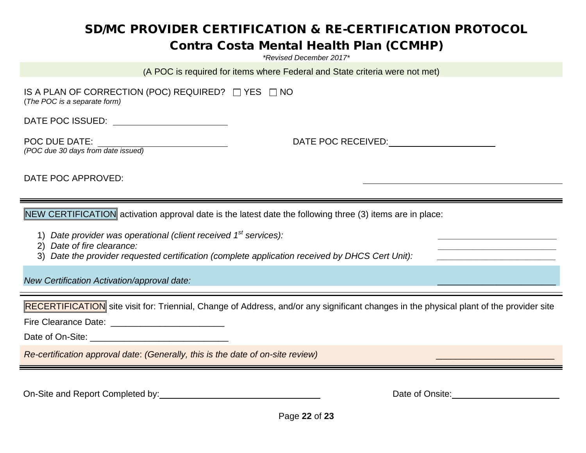#### Contra Costa Mental Health Plan (CCMHP)

*\*Revised December 2017\**

(A POC is required for items where Federal and State criteria were not met)

IS A PLAN OF CORRECTION (POC) REQUIRED?  $\Box$  YES  $\Box$  NO (*The POC is a separate form)*

DATE POC ISSUED:

POC DUE DATE: DATE: DATE POC RECEIVED: *(POC due 30 days from date issued)*

DATE POC APPROVED:

NEW CERTIFICATION activation approval date is the latest date the following three (3) items are in place:

- 1) *Date provider was operational (client received 1<sup>st</sup> services):*
- 2) *Date of fire clearance: \_\_\_\_\_\_\_\_\_\_\_\_\_\_\_\_\_\_\_\_\_\_\_\_*

3) Date the provider requested certification (complete application received by DHCS Cert Unit):

*New Certification Activation/approval date:* \_\_\_\_\_\_\_\_\_\_\_\_\_\_\_\_\_\_\_\_\_\_\_\_

RECERTIFICATION site visit for: Triennial, Change of Address, and/or any significant changes in the physical plant of the provider site

Fire Clearance Date: \_\_\_\_\_\_\_\_\_\_\_\_\_\_\_\_\_\_\_\_\_\_\_

Date of On-Site: \_\_\_\_\_\_\_\_\_\_\_\_\_\_\_\_\_\_\_\_\_\_\_\_\_\_\_\_

*Re-certification approval date*: *(Generally, this is the date of on-site review)* \_\_\_\_\_\_\_\_\_\_\_\_\_\_\_\_\_\_\_\_\_\_\_\_

On-Site and Report Completed by: <u>Date of Onsite:</u> Date of Onsite:

Page **22** of **23**